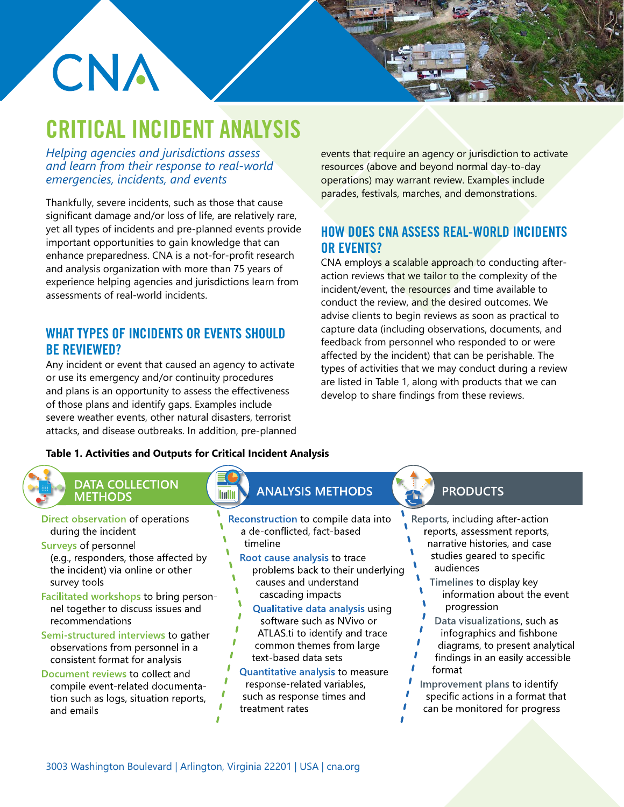# CNA

# CRITICAL INCIDENT ANALYSIS

*Helping agencies and jurisdictions assess and learn from their response to real-world emergencies, incidents, and events*

Thankfully, severe incidents, such as those that cause significant damage and/or loss of life, are relatively rare, yet all types of incidents and pre-planned events provide important opportunities to gain knowledge that can enhance preparedness. CNA is a not-for-profit research and analysis organization with more than 75 years of experience helping agencies and jurisdictions learn from assessments of real-world incidents.

# WHAT TYPES OF INCIDENTS OR EVENTS SHOULD BE REVIEWED?

Any incident or event that caused an agency to activate or use its emergency and/or continuity procedures and plans is an opportunity to assess the effectiveness of those plans and identify gaps. Examples include severe weather events, other natural disasters, terrorist attacks, and disease outbreaks. In addition, pre-planned events that require an agency or jurisdiction to activate resources (above and beyond normal day-to-day operations) may warrant review. Examples include parades, festivals, marches, and demonstrations.

# HOW DOES CNA ASSESS REAL-WORLD INCIDENTS OR EVENTS?

CNA employs a scalable approach to conducting afteraction reviews that we tailor to the complexity of the incident/event, the resources and time available to conduct the review, and the desired outcomes. We advise clients to begin reviews as soon as practical to capture data (including observations, documents, and feedback from personnel who responded to or were affected by the incident) that can be perishable. The types of activities that we may conduct during a review are listed in Table 1, along with products that we can develop to share findings from these reviews.

# **Table 1. Activities and Outputs for Critical Incident Analysis**

# **DATA COLLECTION METHODS**

- Direct observation of operations during the incident
- **Surveys of personnel** (e.g., responders, those affected by the incident) via online or other survey tools
- Facilitated workshops to bring personnel together to discuss issues and recommendations
- Semi-structured interviews to gather observations from personnel in a consistent format for analysis
- Document reviews to collect and compile event-related documentation such as logs, situation reports, and emails

### **ANALYSIS METHODS Imilii**

- Reconstruction to compile data into a de-conflicted, fact-based timeline
	- Root cause analysis to trace problems back to their underlying causes and understand cascading impacts
	- Qualitative data analysis using software such as NVivo or ATLAS.ti to identify and trace common themes from large
	- text-based data sets
- Quantitative analysis to measure response-related variables, such as response times and treatment rates

# **PRODUCTS**

- Reports, including after-action reports, assessment reports, narrative histories, and case studies geared to specific audiences
	- Timelines to display key information about the event progression
- Data visualizations, such as infographics and fishbone diagrams, to present analytical findings in an easily accessible format
- Improvement plans to identify specific actions in a format that can be monitored for progress